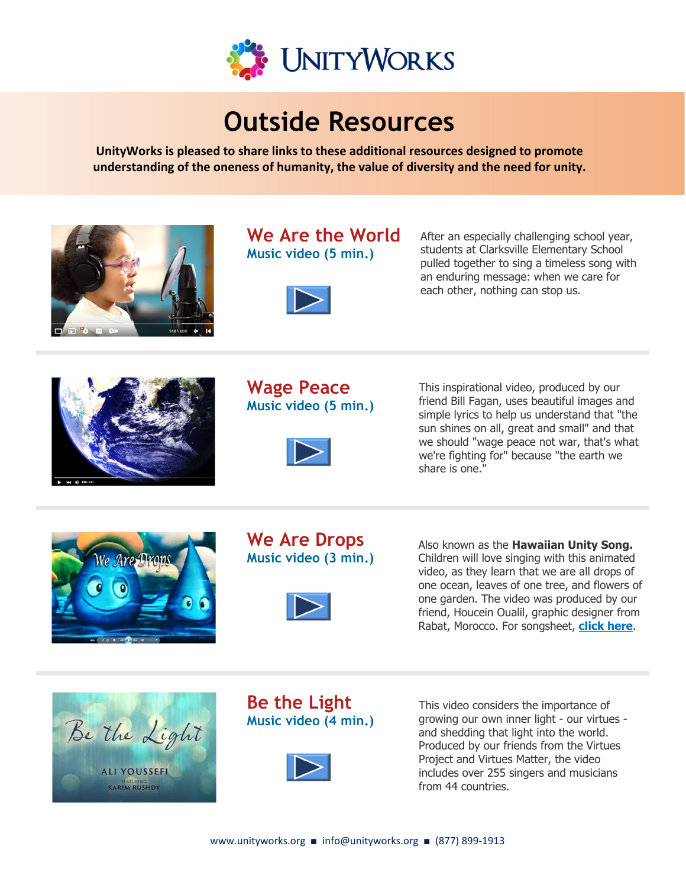

# **understanding of the ones of the ones of the value of the need for unity.**

**UnityWorks is pleased to share links to these additional resources designed to promote understanding of the oneness of humanity, the value of diversity and the need for unity.** 



# **We Are the World Music video (5 min.)**



After an especially challenging school year, students at Clarksville Elementary School pulled together to sing a timeless song with an enduring message: when we care for each other, nothing can stop us.



## **Wage Peace Music video (5 min.)**



This inspirational video, produced by our friend Bill Fagan, uses beautiful images and simple lyrics to help us understand that "the sun shines on all, great and small" and that we should "wage peace not war, that's what we're fighting for" because "the earth we share is one."



# **We Are Drops Music video (3 min.)**



Also known as the **Hawaiian Unity Song.**  Children will love singing with this animated video, as they learn that we are all drops of one ocean, leaves of one tree, and flowers of one garden. The video was produced by our friend, Houcein Oualil, graphic designer from Rabat, Morocco. For songsheet, **[click here](https://www.unityworks.org/wp-content/uploads/2022/04/Hawaiian-Unity-Song-Songsheet.pdf)**.



# **Be the Light Music video (4 min.)**



This video considers the importance of growing our own inner light - our virtues and shedding that light into the world. Produced by our friends from the Virtues Project and Virtues Matter, the video includes over 255 singers and musicians from 44 countries.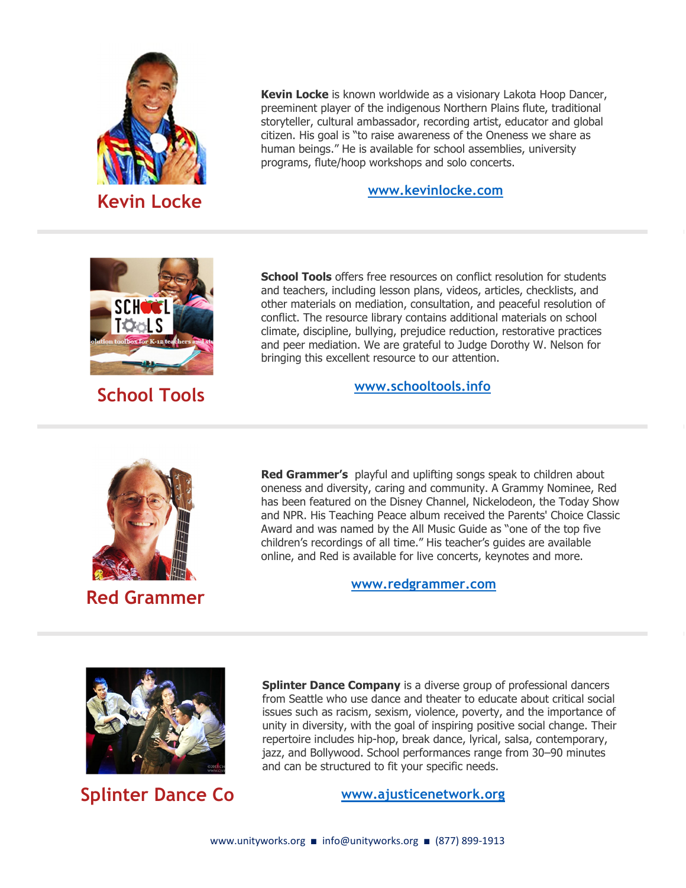

**Kevin Locke** is known worldwide as a visionary Lakota Hoop Dancer, preeminent player of the indigenous Northern Plains flute, traditional storyteller, cultural ambassador, recording artist, educator and global citizen. His goal is "to raise awareness of the Oneness we share as human beings." He is available for school assemblies, university programs, flute/hoop workshops and solo concerts.

#### **[www.kevinlocke.com](http://www.kevinlocke.com)**



 **School Tools**

**School Tools** offers free resources on conflict resolution for students and teachers, including lesson plans, videos, articles, checklists, and other materials on mediation, consultation, and peaceful resolution of conflict. The resource library contains additional materials on school climate, discipline, bullying, prejudice reduction, restorative practices and peer mediation. We are grateful to Judge Dorothy W. Nelson for bringing this excellent resource to our attention.

#### **[www.schooltools.info](http://www.schooltools.info)**



 **Red Grammer**

**Red Grammer's** playful and uplifting songs speak to children about oneness and diversity, caring and community. A Grammy Nominee, Red has been featured on the Disney Channel, Nickelodeon, the Today Show and NPR. His Teaching Peace album received the Parents' Choice Classic Award and was named by the All Music Guide as "one of the top five children's recordings of all time." His teacher's guides are available online, and Red is available for live concerts, keynotes and more.

**[www.redgrammer.com](http://www.redgrammer.com)** 



**Splinter Dance Co**

**Splinter Dance Company** is a diverse group of professional dancers from Seattle who use dance and theater to educate about critical social issues such as racism, sexism, violence, poverty, and the importance of unity in diversity, with the goal of inspiring positive social change. Their repertoire includes hip‐hop, break dance, lyrical, salsa, contemporary, jazz, and Bollywood. School performances range from 30–90 minutes and can be structured to fit your specific needs.

**[www.ajusticenetwork.org](http://www.ajusticenetwork.org)**